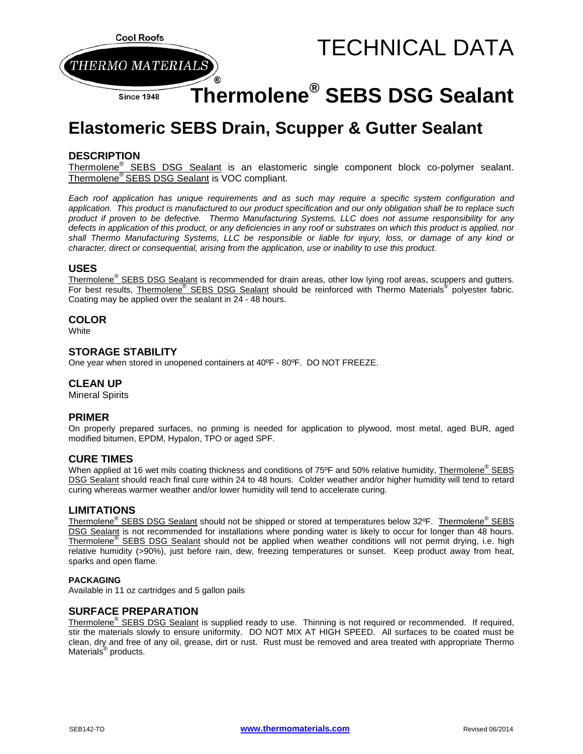

# **Elastomeric SEBS Drain, Scupper & Gutter Sealant**

## **DESCRIPTION**

Thermolene<sup>®</sup> SEBS DSG Sealant is an elastomeric single component block co-polymer sealant. Thermolene® SEBS DSG Sealant is VOC compliant.

*Each roof application has unique requirements and as such may require a specific system configuration and application. This product is manufactured to our product specification and our only obligation shall be to replace such product if proven to be defective. Thermo Manufacturing Systems, LLC does not assume responsibility for any defects in application of this product, or any deficiencies in any roof or substrates on which this product is applied, nor shall Thermo Manufacturing Systems, LLC be responsible or liable for injury, loss, or damage of any kind or character, direct or consequential, arising from the application, use or inability to use this product.*

### **USES**

Thermolene<sup>®</sup> SEBS DSG Sealant is recommended for drain areas, other low lying roof areas, scuppers and gutters. For best results, **Thermolene<sup>®</sup> SEBS DSG Sealant** should be reinforced with Thermo Materials<sup>®</sup> polyester fabric. Coating may be applied over the sealant in 24 - 48 hours.

#### **COLOR**

**White** 

## **STORAGE STABILITY**

One year when stored in unopened containers at 40ºF - 80ºF. DO NOT FREEZE.

## **CLEAN UP**

Mineral Spirits

#### **PRIMER**

On properly prepared surfaces, no priming is needed for application to plywood, most metal, aged BUR, aged modified bitumen, EPDM, Hypalon, TPO or aged SPF.

#### **CURE TIMES**

When applied at 16 wet mils coating thickness and conditions of 75°F and 50% relative humidity, Thermolene<sup>®</sup> SEBS DSG Sealant should reach final cure within 24 to 48 hours. Colder weather and/or higher humidity will tend to retard curing whereas warmer weather and/or lower humidity will tend to accelerate curing.

#### **LIMITATIONS**

Thermolene<sup>®</sup> SEBS DSG Sealant should not be shipped or stored at temperatures below 32°F. Thermolene<sup>®</sup> SEBS DSG Sealant is not recommended for installations where ponding water is likely to occur for longer than 48 hours. Thermolene<sup>®</sup> SEBS DSG Sealant should not be applied when weather conditions will not permit drying, i.e. high relative humidity (>90%), just before rain, dew, freezing temperatures or sunset. Keep product away from heat, sparks and open flame.

#### **PACKAGING**

Available in 11 oz cartridges and 5 gallon pails

#### **SURFACE PREPARATION**

Thermolene<sup>®</sup> SEBS DSG Sealant is supplied ready to use. Thinning is not required or recommended. If required, stir the materials slowly to ensure uniformity. DO NOT MIX AT HIGH SPEED. All surfaces to be coated must be clean, dry and free of any oil, grease, dirt or rust. Rust must be removed and area treated with appropriate Thermo Materials® products.